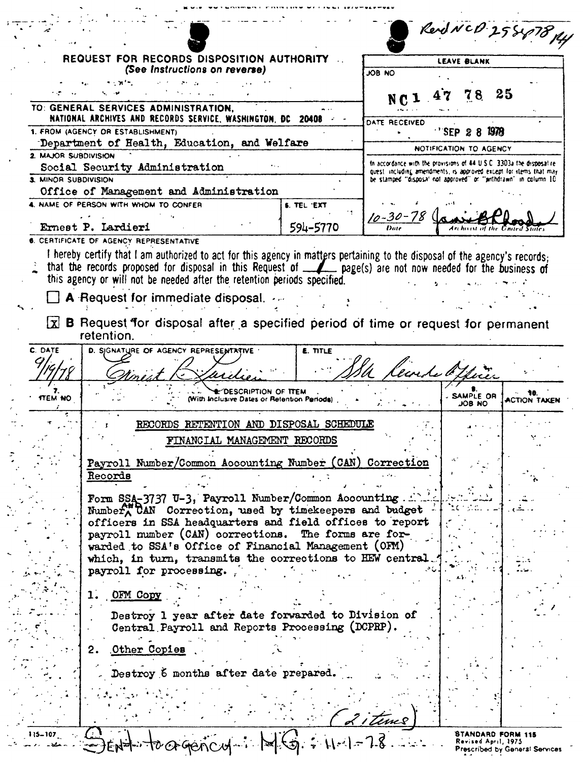| REQUEST FOR RECORDS DISPOSITION AUTHORITY<br><b>LEAVE BLANK</b><br>(See Instructions on reverse)<br>ON BOL<br>25<br>78<br>TO: GENERAL SERVICES ADMINISTRATION,<br>NATIONAL ARCHIVES AND RECORDS SERVICE, WASHINGTON, DC 20408 -<br>DATE RECEIVED<br>1978<br>1. FROM (AGENCY OR ESTABLISHMENT)<br>'SEP 2<br>Department of Health, Education, and Welfare<br>NOTIFICATION TO AGENCY<br>2. MAJOR SUBDIVISION<br>In accordance with the provisions of 44 U.S.C. 3303a the disposal re-<br>Social Security Administration<br>quest including amendments, is approved except for items that may<br>3. MINOR SUBDIVISION<br>be stamped "disposa" not approved" or "jirithdrawn" in column 10.<br>Office of Management and Administration<br>4. NAME OF PERSON WITH WHOM TO CONFER<br>S. TEL 'EXT<br>$10 - 30 - 78$<br>Ernest P. Lardieri<br>594–5770<br>6. CERTIFICATE OF AGENCY REPRESENTATIVE<br>I hereby certify that I am authorized to act for this agency in matters pertaining to the disposal of the agency's records;<br>that the records proposed for disposal in this Request of _A_page(s) are not now needed for the business of<br>this agency or will not be needed after the retention periods specified.<br>A Request for immediate disposal.<br>X B Request for disposal after a specified period of time or request for permanent<br>retention.<br>C. DATE<br>D. SJGNATURE OF AGENCY REPRESENTATIVE<br><b>E. TITLE</b><br>levedo Othice<br>"DESCRIPTION OF TTEM<br><b>SAMPLE OR</b><br>TTEM NO<br>(With Inclusive Dates or Retention Periods)<br>ON 80L<br>RECORDS RETENTION AND DISPOSAL SCHEDULE<br>FINANCIAL MANAGEMENT RECORDS<br>Payroll Number/Common Accounting Number (CAN) Correction<br>Records<br>Form SSA-3737 U-3, Payroll Number/Common Accounting<br>Number CAN Correction, used by timekeepers and budget<br>officers in SSA headquarters and field offices to report<br>payroll number (CAN) corrections.<br>The forms are for-<br>warded to SSA's Office of Financial Management (OFM)<br>which, in turn, transmits the corrections to HEW central<br>payroll for processing.<br>OFM Copy<br>1.<br>Destroy 1 year after date forwarded to Division of<br>Central Payroll and Reports Processing (DCPRP).<br>Other Copies<br>2.<br>Destroy 6 months after date prepared.<br><u>2 i time</u> s<br>STANDARD FORM 115<br>Revised April, 1975 |  |  | Rend NCD 25847814 |                     |
|------------------------------------------------------------------------------------------------------------------------------------------------------------------------------------------------------------------------------------------------------------------------------------------------------------------------------------------------------------------------------------------------------------------------------------------------------------------------------------------------------------------------------------------------------------------------------------------------------------------------------------------------------------------------------------------------------------------------------------------------------------------------------------------------------------------------------------------------------------------------------------------------------------------------------------------------------------------------------------------------------------------------------------------------------------------------------------------------------------------------------------------------------------------------------------------------------------------------------------------------------------------------------------------------------------------------------------------------------------------------------------------------------------------------------------------------------------------------------------------------------------------------------------------------------------------------------------------------------------------------------------------------------------------------------------------------------------------------------------------------------------------------------------------------------------------------------------------------------------------------------------------------------------------------------------------------------------------------------------------------------------------------------------------------------------------------------------------------------------------------------------------------------------------------------------------------------------------------------------------------------------------------------------------------------------------------------------------------------------------------|--|--|-------------------|---------------------|
|                                                                                                                                                                                                                                                                                                                                                                                                                                                                                                                                                                                                                                                                                                                                                                                                                                                                                                                                                                                                                                                                                                                                                                                                                                                                                                                                                                                                                                                                                                                                                                                                                                                                                                                                                                                                                                                                                                                                                                                                                                                                                                                                                                                                                                                                                                                                                                        |  |  |                   |                     |
|                                                                                                                                                                                                                                                                                                                                                                                                                                                                                                                                                                                                                                                                                                                                                                                                                                                                                                                                                                                                                                                                                                                                                                                                                                                                                                                                                                                                                                                                                                                                                                                                                                                                                                                                                                                                                                                                                                                                                                                                                                                                                                                                                                                                                                                                                                                                                                        |  |  |                   |                     |
|                                                                                                                                                                                                                                                                                                                                                                                                                                                                                                                                                                                                                                                                                                                                                                                                                                                                                                                                                                                                                                                                                                                                                                                                                                                                                                                                                                                                                                                                                                                                                                                                                                                                                                                                                                                                                                                                                                                                                                                                                                                                                                                                                                                                                                                                                                                                                                        |  |  |                   |                     |
|                                                                                                                                                                                                                                                                                                                                                                                                                                                                                                                                                                                                                                                                                                                                                                                                                                                                                                                                                                                                                                                                                                                                                                                                                                                                                                                                                                                                                                                                                                                                                                                                                                                                                                                                                                                                                                                                                                                                                                                                                                                                                                                                                                                                                                                                                                                                                                        |  |  |                   |                     |
|                                                                                                                                                                                                                                                                                                                                                                                                                                                                                                                                                                                                                                                                                                                                                                                                                                                                                                                                                                                                                                                                                                                                                                                                                                                                                                                                                                                                                                                                                                                                                                                                                                                                                                                                                                                                                                                                                                                                                                                                                                                                                                                                                                                                                                                                                                                                                                        |  |  |                   |                     |
|                                                                                                                                                                                                                                                                                                                                                                                                                                                                                                                                                                                                                                                                                                                                                                                                                                                                                                                                                                                                                                                                                                                                                                                                                                                                                                                                                                                                                                                                                                                                                                                                                                                                                                                                                                                                                                                                                                                                                                                                                                                                                                                                                                                                                                                                                                                                                                        |  |  |                   |                     |
|                                                                                                                                                                                                                                                                                                                                                                                                                                                                                                                                                                                                                                                                                                                                                                                                                                                                                                                                                                                                                                                                                                                                                                                                                                                                                                                                                                                                                                                                                                                                                                                                                                                                                                                                                                                                                                                                                                                                                                                                                                                                                                                                                                                                                                                                                                                                                                        |  |  |                   |                     |
|                                                                                                                                                                                                                                                                                                                                                                                                                                                                                                                                                                                                                                                                                                                                                                                                                                                                                                                                                                                                                                                                                                                                                                                                                                                                                                                                                                                                                                                                                                                                                                                                                                                                                                                                                                                                                                                                                                                                                                                                                                                                                                                                                                                                                                                                                                                                                                        |  |  |                   |                     |
|                                                                                                                                                                                                                                                                                                                                                                                                                                                                                                                                                                                                                                                                                                                                                                                                                                                                                                                                                                                                                                                                                                                                                                                                                                                                                                                                                                                                                                                                                                                                                                                                                                                                                                                                                                                                                                                                                                                                                                                                                                                                                                                                                                                                                                                                                                                                                                        |  |  |                   |                     |
|                                                                                                                                                                                                                                                                                                                                                                                                                                                                                                                                                                                                                                                                                                                                                                                                                                                                                                                                                                                                                                                                                                                                                                                                                                                                                                                                                                                                                                                                                                                                                                                                                                                                                                                                                                                                                                                                                                                                                                                                                                                                                                                                                                                                                                                                                                                                                                        |  |  |                   |                     |
|                                                                                                                                                                                                                                                                                                                                                                                                                                                                                                                                                                                                                                                                                                                                                                                                                                                                                                                                                                                                                                                                                                                                                                                                                                                                                                                                                                                                                                                                                                                                                                                                                                                                                                                                                                                                                                                                                                                                                                                                                                                                                                                                                                                                                                                                                                                                                                        |  |  |                   |                     |
|                                                                                                                                                                                                                                                                                                                                                                                                                                                                                                                                                                                                                                                                                                                                                                                                                                                                                                                                                                                                                                                                                                                                                                                                                                                                                                                                                                                                                                                                                                                                                                                                                                                                                                                                                                                                                                                                                                                                                                                                                                                                                                                                                                                                                                                                                                                                                                        |  |  |                   |                     |
|                                                                                                                                                                                                                                                                                                                                                                                                                                                                                                                                                                                                                                                                                                                                                                                                                                                                                                                                                                                                                                                                                                                                                                                                                                                                                                                                                                                                                                                                                                                                                                                                                                                                                                                                                                                                                                                                                                                                                                                                                                                                                                                                                                                                                                                                                                                                                                        |  |  |                   |                     |
|                                                                                                                                                                                                                                                                                                                                                                                                                                                                                                                                                                                                                                                                                                                                                                                                                                                                                                                                                                                                                                                                                                                                                                                                                                                                                                                                                                                                                                                                                                                                                                                                                                                                                                                                                                                                                                                                                                                                                                                                                                                                                                                                                                                                                                                                                                                                                                        |  |  |                   |                     |
|                                                                                                                                                                                                                                                                                                                                                                                                                                                                                                                                                                                                                                                                                                                                                                                                                                                                                                                                                                                                                                                                                                                                                                                                                                                                                                                                                                                                                                                                                                                                                                                                                                                                                                                                                                                                                                                                                                                                                                                                                                                                                                                                                                                                                                                                                                                                                                        |  |  |                   |                     |
|                                                                                                                                                                                                                                                                                                                                                                                                                                                                                                                                                                                                                                                                                                                                                                                                                                                                                                                                                                                                                                                                                                                                                                                                                                                                                                                                                                                                                                                                                                                                                                                                                                                                                                                                                                                                                                                                                                                                                                                                                                                                                                                                                                                                                                                                                                                                                                        |  |  |                   |                     |
|                                                                                                                                                                                                                                                                                                                                                                                                                                                                                                                                                                                                                                                                                                                                                                                                                                                                                                                                                                                                                                                                                                                                                                                                                                                                                                                                                                                                                                                                                                                                                                                                                                                                                                                                                                                                                                                                                                                                                                                                                                                                                                                                                                                                                                                                                                                                                                        |  |  |                   |                     |
|                                                                                                                                                                                                                                                                                                                                                                                                                                                                                                                                                                                                                                                                                                                                                                                                                                                                                                                                                                                                                                                                                                                                                                                                                                                                                                                                                                                                                                                                                                                                                                                                                                                                                                                                                                                                                                                                                                                                                                                                                                                                                                                                                                                                                                                                                                                                                                        |  |  |                   |                     |
|                                                                                                                                                                                                                                                                                                                                                                                                                                                                                                                                                                                                                                                                                                                                                                                                                                                                                                                                                                                                                                                                                                                                                                                                                                                                                                                                                                                                                                                                                                                                                                                                                                                                                                                                                                                                                                                                                                                                                                                                                                                                                                                                                                                                                                                                                                                                                                        |  |  |                   |                     |
|                                                                                                                                                                                                                                                                                                                                                                                                                                                                                                                                                                                                                                                                                                                                                                                                                                                                                                                                                                                                                                                                                                                                                                                                                                                                                                                                                                                                                                                                                                                                                                                                                                                                                                                                                                                                                                                                                                                                                                                                                                                                                                                                                                                                                                                                                                                                                                        |  |  |                   |                     |
|                                                                                                                                                                                                                                                                                                                                                                                                                                                                                                                                                                                                                                                                                                                                                                                                                                                                                                                                                                                                                                                                                                                                                                                                                                                                                                                                                                                                                                                                                                                                                                                                                                                                                                                                                                                                                                                                                                                                                                                                                                                                                                                                                                                                                                                                                                                                                                        |  |  |                   | <b>ACTION TAKEN</b> |
|                                                                                                                                                                                                                                                                                                                                                                                                                                                                                                                                                                                                                                                                                                                                                                                                                                                                                                                                                                                                                                                                                                                                                                                                                                                                                                                                                                                                                                                                                                                                                                                                                                                                                                                                                                                                                                                                                                                                                                                                                                                                                                                                                                                                                                                                                                                                                                        |  |  |                   |                     |
|                                                                                                                                                                                                                                                                                                                                                                                                                                                                                                                                                                                                                                                                                                                                                                                                                                                                                                                                                                                                                                                                                                                                                                                                                                                                                                                                                                                                                                                                                                                                                                                                                                                                                                                                                                                                                                                                                                                                                                                                                                                                                                                                                                                                                                                                                                                                                                        |  |  |                   |                     |
|                                                                                                                                                                                                                                                                                                                                                                                                                                                                                                                                                                                                                                                                                                                                                                                                                                                                                                                                                                                                                                                                                                                                                                                                                                                                                                                                                                                                                                                                                                                                                                                                                                                                                                                                                                                                                                                                                                                                                                                                                                                                                                                                                                                                                                                                                                                                                                        |  |  |                   |                     |
|                                                                                                                                                                                                                                                                                                                                                                                                                                                                                                                                                                                                                                                                                                                                                                                                                                                                                                                                                                                                                                                                                                                                                                                                                                                                                                                                                                                                                                                                                                                                                                                                                                                                                                                                                                                                                                                                                                                                                                                                                                                                                                                                                                                                                                                                                                                                                                        |  |  |                   |                     |
|                                                                                                                                                                                                                                                                                                                                                                                                                                                                                                                                                                                                                                                                                                                                                                                                                                                                                                                                                                                                                                                                                                                                                                                                                                                                                                                                                                                                                                                                                                                                                                                                                                                                                                                                                                                                                                                                                                                                                                                                                                                                                                                                                                                                                                                                                                                                                                        |  |  |                   |                     |
|                                                                                                                                                                                                                                                                                                                                                                                                                                                                                                                                                                                                                                                                                                                                                                                                                                                                                                                                                                                                                                                                                                                                                                                                                                                                                                                                                                                                                                                                                                                                                                                                                                                                                                                                                                                                                                                                                                                                                                                                                                                                                                                                                                                                                                                                                                                                                                        |  |  |                   |                     |
|                                                                                                                                                                                                                                                                                                                                                                                                                                                                                                                                                                                                                                                                                                                                                                                                                                                                                                                                                                                                                                                                                                                                                                                                                                                                                                                                                                                                                                                                                                                                                                                                                                                                                                                                                                                                                                                                                                                                                                                                                                                                                                                                                                                                                                                                                                                                                                        |  |  |                   |                     |
|                                                                                                                                                                                                                                                                                                                                                                                                                                                                                                                                                                                                                                                                                                                                                                                                                                                                                                                                                                                                                                                                                                                                                                                                                                                                                                                                                                                                                                                                                                                                                                                                                                                                                                                                                                                                                                                                                                                                                                                                                                                                                                                                                                                                                                                                                                                                                                        |  |  |                   |                     |
|                                                                                                                                                                                                                                                                                                                                                                                                                                                                                                                                                                                                                                                                                                                                                                                                                                                                                                                                                                                                                                                                                                                                                                                                                                                                                                                                                                                                                                                                                                                                                                                                                                                                                                                                                                                                                                                                                                                                                                                                                                                                                                                                                                                                                                                                                                                                                                        |  |  |                   |                     |
|                                                                                                                                                                                                                                                                                                                                                                                                                                                                                                                                                                                                                                                                                                                                                                                                                                                                                                                                                                                                                                                                                                                                                                                                                                                                                                                                                                                                                                                                                                                                                                                                                                                                                                                                                                                                                                                                                                                                                                                                                                                                                                                                                                                                                                                                                                                                                                        |  |  |                   |                     |
|                                                                                                                                                                                                                                                                                                                                                                                                                                                                                                                                                                                                                                                                                                                                                                                                                                                                                                                                                                                                                                                                                                                                                                                                                                                                                                                                                                                                                                                                                                                                                                                                                                                                                                                                                                                                                                                                                                                                                                                                                                                                                                                                                                                                                                                                                                                                                                        |  |  |                   |                     |
|                                                                                                                                                                                                                                                                                                                                                                                                                                                                                                                                                                                                                                                                                                                                                                                                                                                                                                                                                                                                                                                                                                                                                                                                                                                                                                                                                                                                                                                                                                                                                                                                                                                                                                                                                                                                                                                                                                                                                                                                                                                                                                                                                                                                                                                                                                                                                                        |  |  |                   |                     |
|                                                                                                                                                                                                                                                                                                                                                                                                                                                                                                                                                                                                                                                                                                                                                                                                                                                                                                                                                                                                                                                                                                                                                                                                                                                                                                                                                                                                                                                                                                                                                                                                                                                                                                                                                                                                                                                                                                                                                                                                                                                                                                                                                                                                                                                                                                                                                                        |  |  |                   |                     |
|                                                                                                                                                                                                                                                                                                                                                                                                                                                                                                                                                                                                                                                                                                                                                                                                                                                                                                                                                                                                                                                                                                                                                                                                                                                                                                                                                                                                                                                                                                                                                                                                                                                                                                                                                                                                                                                                                                                                                                                                                                                                                                                                                                                                                                                                                                                                                                        |  |  |                   |                     |
|                                                                                                                                                                                                                                                                                                                                                                                                                                                                                                                                                                                                                                                                                                                                                                                                                                                                                                                                                                                                                                                                                                                                                                                                                                                                                                                                                                                                                                                                                                                                                                                                                                                                                                                                                                                                                                                                                                                                                                                                                                                                                                                                                                                                                                                                                                                                                                        |  |  |                   |                     |
|                                                                                                                                                                                                                                                                                                                                                                                                                                                                                                                                                                                                                                                                                                                                                                                                                                                                                                                                                                                                                                                                                                                                                                                                                                                                                                                                                                                                                                                                                                                                                                                                                                                                                                                                                                                                                                                                                                                                                                                                                                                                                                                                                                                                                                                                                                                                                                        |  |  |                   |                     |
|                                                                                                                                                                                                                                                                                                                                                                                                                                                                                                                                                                                                                                                                                                                                                                                                                                                                                                                                                                                                                                                                                                                                                                                                                                                                                                                                                                                                                                                                                                                                                                                                                                                                                                                                                                                                                                                                                                                                                                                                                                                                                                                                                                                                                                                                                                                                                                        |  |  |                   |                     |
|                                                                                                                                                                                                                                                                                                                                                                                                                                                                                                                                                                                                                                                                                                                                                                                                                                                                                                                                                                                                                                                                                                                                                                                                                                                                                                                                                                                                                                                                                                                                                                                                                                                                                                                                                                                                                                                                                                                                                                                                                                                                                                                                                                                                                                                                                                                                                                        |  |  |                   |                     |
|                                                                                                                                                                                                                                                                                                                                                                                                                                                                                                                                                                                                                                                                                                                                                                                                                                                                                                                                                                                                                                                                                                                                                                                                                                                                                                                                                                                                                                                                                                                                                                                                                                                                                                                                                                                                                                                                                                                                                                                                                                                                                                                                                                                                                                                                                                                                                                        |  |  |                   |                     |